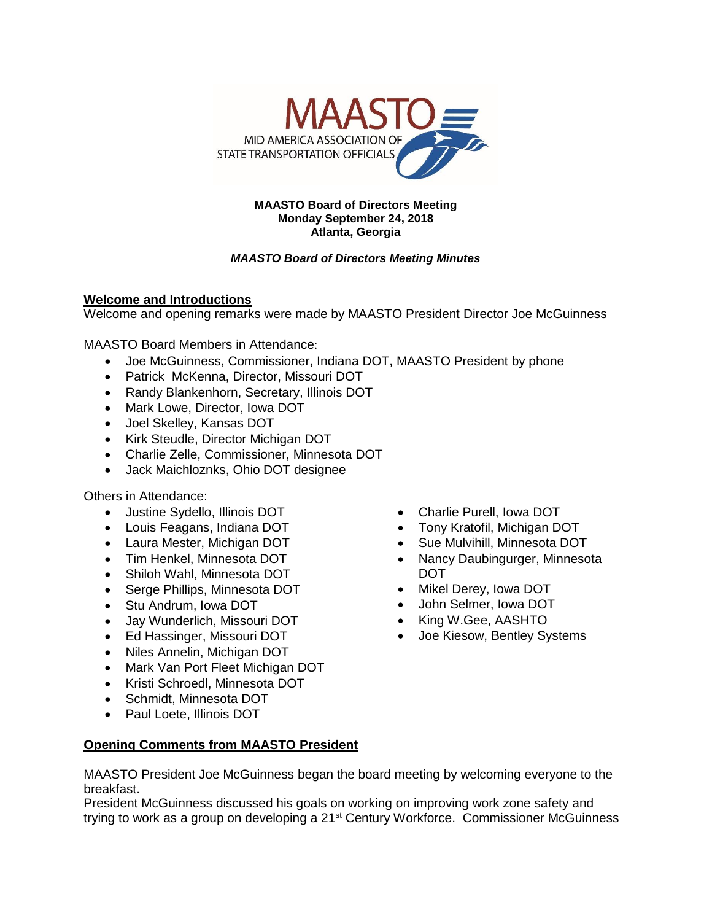

#### **MAASTO Board of Directors Meeting Monday September 24, 2018 Atlanta, Georgia**

# *MAASTO Board of Directors Meeting Minutes*

# **Welcome and Introductions**

Welcome and opening remarks were made by MAASTO President Director Joe McGuinness

MAASTO Board Members in Attendance:

- Joe McGuinness, Commissioner, Indiana DOT, MAASTO President by phone
- Patrick McKenna, Director, Missouri DOT
- Randy Blankenhorn, Secretary, Illinois DOT
- Mark Lowe, Director, Iowa DOT
- Joel Skelley, Kansas DOT
- Kirk Steudle, Director Michigan DOT
- Charlie Zelle, Commissioner, Minnesota DOT
- Jack Maichloznks, Ohio DOT designee

Others in Attendance:

- Justine Sydello, Illinois DOT
- Louis Feagans, Indiana DOT
- Laura Mester, Michigan DOT
- Tim Henkel, Minnesota DOT
- Shiloh Wahl, Minnesota DOT
- Serge Phillips, Minnesota DOT
- Stu Andrum, Iowa DOT
- Jay Wunderlich, Missouri DOT
- Ed Hassinger, Missouri DOT
- Niles Annelin, Michigan DOT
- Mark Van Port Fleet Michigan DOT
- Kristi Schroedl, Minnesota DOT
- Schmidt, Minnesota DOT
- Paul Loete, Illinois DOT

# **Opening Comments from MAASTO President**

MAASTO President Joe McGuinness began the board meeting by welcoming everyone to the breakfast.

President McGuinness discussed his goals on working on improving work zone safety and trying to work as a group on developing a 21<sup>st</sup> Century Workforce. Commissioner McGuinness

- Charlie Purell, Iowa DOT
- Tony Kratofil, Michigan DOT
- Sue Mulvihill, Minnesota DOT
- Nancy Daubingurger, Minnesota DOT
- Mikel Derey, Iowa DOT
- John Selmer, Iowa DOT
- King W.Gee, AASHTO
- Joe Kiesow, Bentley Systems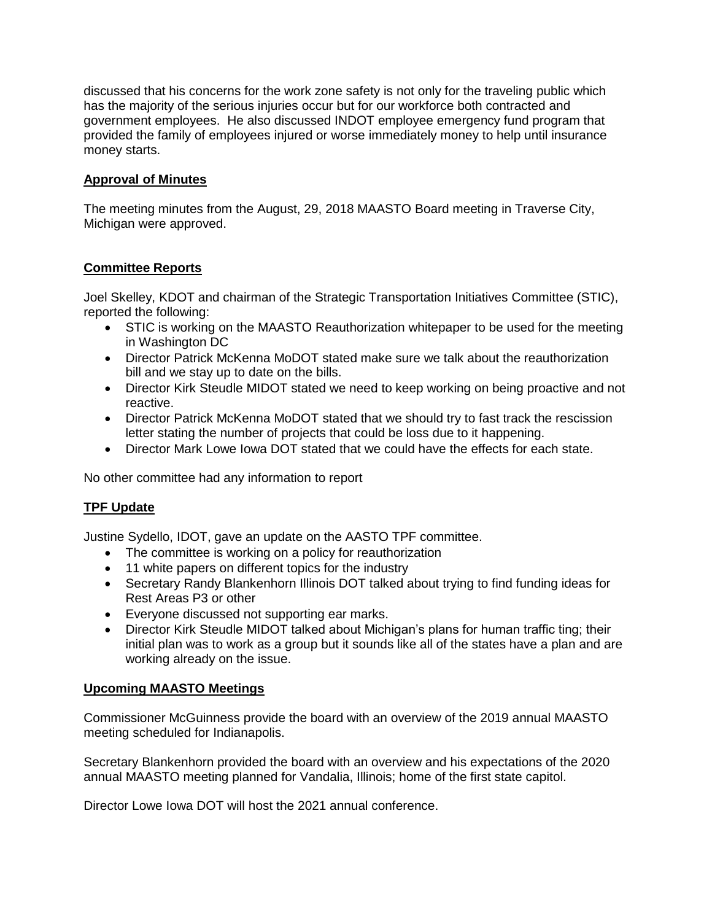discussed that his concerns for the work zone safety is not only for the traveling public which has the majority of the serious injuries occur but for our workforce both contracted and government employees. He also discussed INDOT employee emergency fund program that provided the family of employees injured or worse immediately money to help until insurance money starts.

### **Approval of Minutes**

The meeting minutes from the August, 29, 2018 MAASTO Board meeting in Traverse City, Michigan were approved.

# **Committee Reports**

Joel Skelley, KDOT and chairman of the Strategic Transportation Initiatives Committee (STIC), reported the following:

- STIC is working on the MAASTO Reauthorization whitepaper to be used for the meeting in Washington DC
- Director Patrick McKenna MoDOT stated make sure we talk about the reauthorization bill and we stay up to date on the bills.
- Director Kirk Steudle MIDOT stated we need to keep working on being proactive and not reactive.
- Director Patrick McKenna MoDOT stated that we should try to fast track the rescission letter stating the number of projects that could be loss due to it happening.
- Director Mark Lowe Iowa DOT stated that we could have the effects for each state.

No other committee had any information to report

### **TPF Update**

Justine Sydello, IDOT, gave an update on the AASTO TPF committee.

- The committee is working on a policy for reauthorization
- 11 white papers on different topics for the industry
- Secretary Randy Blankenhorn Illinois DOT talked about trying to find funding ideas for Rest Areas P3 or other
- Everyone discussed not supporting ear marks.
- Director Kirk Steudle MIDOT talked about Michigan's plans for human traffic ting; their initial plan was to work as a group but it sounds like all of the states have a plan and are working already on the issue.

### **Upcoming MAASTO Meetings**

Commissioner McGuinness provide the board with an overview of the 2019 annual MAASTO meeting scheduled for Indianapolis.

Secretary Blankenhorn provided the board with an overview and his expectations of the 2020 annual MAASTO meeting planned for Vandalia, Illinois; home of the first state capitol.

Director Lowe Iowa DOT will host the 2021 annual conference.